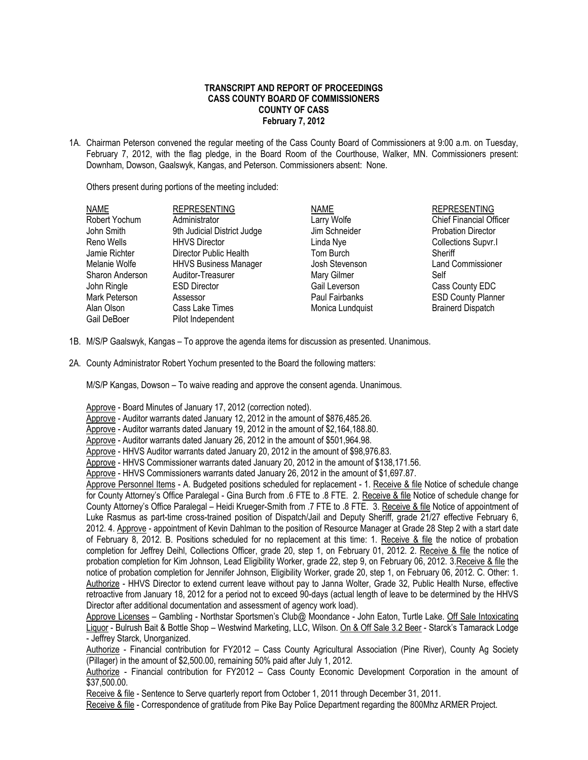## **TRANSCRIPT AND REPORT OF PROCEEDINGS CASS COUNTY BOARD OF COMMISSIONERS COUNTY OF CASS February 7, 2012**

1A. Chairman Peterson convened the regular meeting of the Cass County Board of Commissioners at 9:00 a.m. on Tuesday, February 7, 2012, with the flag pledge, in the Board Room of the Courthouse, Walker, MN. Commissioners present: Downham, Dowson, Gaalswyk, Kangas, and Peterson. Commissioners absent: None.

Others present during portions of the meeting included:

| <b>REPRESENTING</b>            |
|--------------------------------|
| <b>Chief Financial Officer</b> |
| <b>Probation Director</b>      |
| Collections Supvr.I            |
| Sheriff                        |
| <b>Land Commissioner</b>       |
| Self                           |
| Cass County EDC                |
| <b>ESD County Planner</b>      |
| <b>Brainerd Dispatch</b>       |
|                                |

- 1B. M/S/P Gaalswyk, Kangas To approve the agenda items for discussion as presented. Unanimous.
- 2A. County Administrator Robert Yochum presented to the Board the following matters:

M/S/P Kangas, Dowson – To waive reading and approve the consent agenda. Unanimous.

Approve - Board Minutes of January 17, 2012 (correction noted).

Approve - Auditor warrants dated January 12, 2012 in the amount of \$876,485.26.

Approve - Auditor warrants dated January 19, 2012 in the amount of \$2,164,188.80.

Approve - Auditor warrants dated January 26, 2012 in the amount of \$501,964.98.

Approve - HHVS Auditor warrants dated January 20, 2012 in the amount of \$98,976.83.

Approve - HHVS Commissioner warrants dated January 20, 2012 in the amount of \$138,171.56.

Approve - HHVS Commissioners warrants dated January 26, 2012 in the amount of \$1,697.87.

Approve Personnel Items - A. Budgeted positions scheduled for replacement - 1. Receive & file Notice of schedule change for County Attorney's Office Paralegal - Gina Burch from .6 FTE to .8 FTE. 2. Receive & file Notice of schedule change for County Attorney's Office Paralegal – Heidi Krueger-Smith from .7 FTE to .8 FTE. 3. Receive & file Notice of appointment of Luke Rasmus as part-time cross-trained position of Dispatch/Jail and Deputy Sheriff, grade 21/27 effective February 6, 2012. 4. Approve - appointment of Kevin Dahlman to the position of Resource Manager at Grade 28 Step 2 with a start date of February 8, 2012. B. Positions scheduled for no replacement at this time: 1. Receive & file the notice of probation completion for Jeffrey Deihl, Collections Officer, grade 20, step 1, on February 01, 2012. 2. Receive & file the notice of probation completion for Kim Johnson, Lead Eligibility Worker, grade 22, step 9, on February 06, 2012. 3.Receive & file the notice of probation completion for Jennifer Johnson, Eligibility Worker, grade 20, step 1, on February 06, 2012. C. Other: 1. Authorize - HHVS Director to extend current leave without pay to Janna Wolter, Grade 32, Public Health Nurse, effective retroactive from January 18, 2012 for a period not to exceed 90-days (actual length of leave to be determined by the HHVS Director after additional documentation and assessment of agency work load).

Approve Licenses – Gambling - Northstar Sportsmen's Club@ Moondance - John Eaton, Turtle Lake. Off Sale Intoxicating Liquor - Bulrush Bait & Bottle Shop – Westwind Marketing, LLC, Wilson. On & Off Sale 3.2 Beer - Starck's Tamarack Lodge - Jeffrey Starck, Unorganized.

Authorize - Financial contribution for FY2012 - Cass County Agricultural Association (Pine River), County Ag Society (Pillager) in the amount of \$2,500.00, remaining 50% paid after July 1, 2012.

Authorize - Financial contribution for FY2012 – Cass County Economic Development Corporation in the amount of \$37,500.00.

Receive & file - Sentence to Serve quarterly report from October 1, 2011 through December 31, 2011.

Receive & file - Correspondence of gratitude from Pike Bay Police Department regarding the 800Mhz ARMER Project.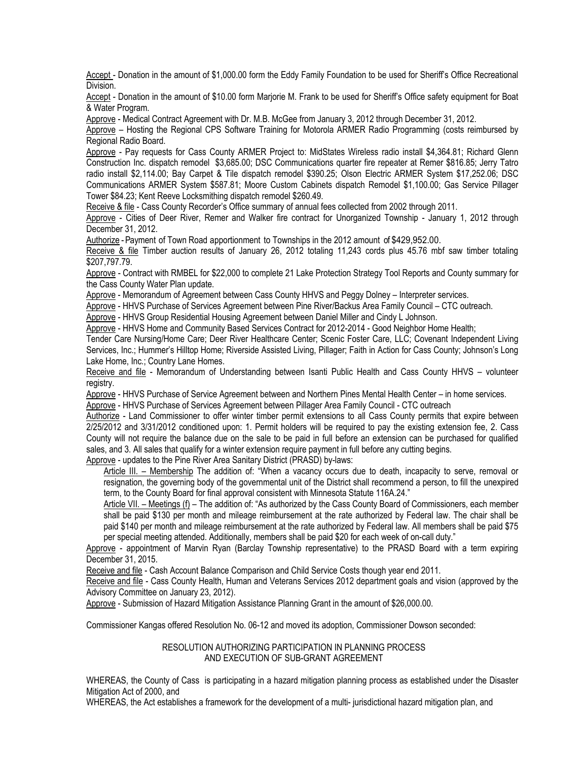Accept - Donation in the amount of \$1,000.00 form the Eddy Family Foundation to be used for Sheriff's Office Recreational Division.

Accept - Donation in the amount of \$10.00 form Marjorie M. Frank to be used for Sheriff's Office safety equipment for Boat & Water Program.

Approve - Medical Contract Agreement with Dr. M.B. McGee from January 3, 2012 through December 31, 2012.

Approve – Hosting the Regional CPS Software Training for Motorola ARMER Radio Programming (costs reimbursed by Regional Radio Board.

Approve - Pay requests for Cass County ARMER Project to: MidStates Wireless radio install \$4,364.81; Richard Glenn Construction Inc. dispatch remodel \$3,685.00; DSC Communications quarter fire repeater at Remer \$816.85; Jerry Tatro radio install \$2,114.00; Bay Carpet & Tile dispatch remodel \$390.25; Olson Electric ARMER System \$17,252.06; DSC Communications ARMER System \$587.81; Moore Custom Cabinets dispatch Remodel \$1,100.00; Gas Service Pillager Tower \$84.23; Kent Reeve Locksmithing dispatch remodel \$260.49.

Receive & file - Cass County Recorder's Office summary of annual fees collected from 2002 through 2011.

Approve - Cities of Deer River, Remer and Walker fire contract for Unorganized Township - January 1, 2012 through December 31, 2012.

Authorize -Payment of Town Road apportionment to Townships in the 2012 amount of \$429,952.00.

Receive & file Timber auction results of January 26, 2012 totaling 11,243 cords plus 45.76 mbf saw timber totaling \$207,797.79.

Approve - Contract with RMBEL for \$22,000 to complete 21 Lake Protection Strategy Tool Reports and County summary for the Cass County Water Plan update.

Approve - Memorandum of Agreement between Cass County HHVS and Peggy Dolney – Interpreter services.

Approve - HHVS Purchase of Services Agreement between Pine River/Backus Area Family Council – CTC outreach.

Approve - HHVS Group Residential Housing Agreement between Daniel Miller and Cindy L Johnson.

Approve - HHVS Home and Community Based Services Contract for 2012-2014 - Good Neighbor Home Health;

Tender Care Nursing/Home Care; Deer River Healthcare Center; Scenic Foster Care, LLC; Covenant Independent Living Services, Inc.; Hummer's Hilltop Home; Riverside Assisted Living, Pillager; Faith in Action for Cass County; Johnson's Long Lake Home, Inc.; Country Lane Homes.

Receive and file - Memorandum of Understanding between Isanti Public Health and Cass County HHVS – volunteer registry.

Approve - HHVS Purchase of Service Agreement between and Northern Pines Mental Health Center – in home services.

Approve - HHVS Purchase of Services Agreement between Pillager Area Family Council - CTC outreach

Authorize - Land Commissioner to offer winter timber permit extensions to all Cass County permits that expire between 2/25/2012 and 3/31/2012 conditioned upon: 1. Permit holders will be required to pay the existing extension fee, 2. Cass County will not require the balance due on the sale to be paid in full before an extension can be purchased for qualified sales, and 3. All sales that qualify for a winter extension require payment in full before any cutting begins.

Approve - updates to the Pine River Area Sanitary District (PRASD) by-laws:

Article III. – Membership The addition of: "When a vacancy occurs due to death, incapacity to serve, removal or resignation, the governing body of the governmental unit of the District shall recommend a person, to fill the unexpired term, to the County Board for final approval consistent with Minnesota Statute 116A.24."

Article VII. – Meetings (f) – The addition of: "As authorized by the Cass County Board of Commissioners, each member shall be paid \$130 per month and mileage reimbursement at the rate authorized by Federal law. The chair shall be paid \$140 per month and mileage reimbursement at the rate authorized by Federal law. All members shall be paid \$75 per special meeting attended. Additionally, members shall be paid \$20 for each week of on-call duty."

Approve - appointment of Marvin Ryan (Barclay Township representative) to the PRASD Board with a term expiring December 31, 2015.

Receive and file - Cash Account Balance Comparison and Child Service Costs though year end 2011.

Receive and file - Cass County Health, Human and Veterans Services 2012 department goals and vision (approved by the Advisory Committee on January 23, 2012).

Approve - Submission of Hazard Mitigation Assistance Planning Grant in the amount of \$26,000.00.

Commissioner Kangas offered Resolution No. 06-12 and moved its adoption, Commissioner Dowson seconded:

## RESOLUTION AUTHORIZING PARTICIPATION IN PLANNING PROCESS AND EXECUTION OF SUB-GRANT AGREEMENT

WHEREAS, the County of Cass is participating in a hazard mitigation planning process as established under the Disaster Mitigation Act of 2000, and

WHEREAS, the Act establishes a framework for the development of a multi- jurisdictional hazard mitigation plan, and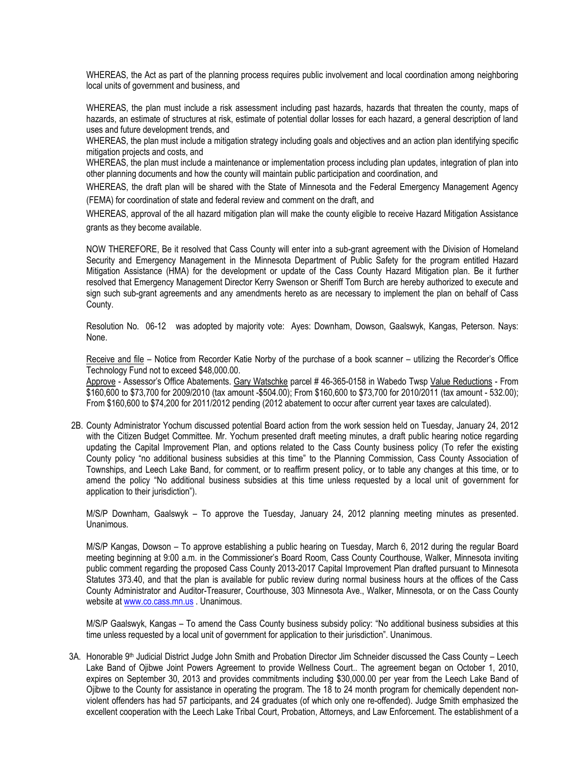WHEREAS, the Act as part of the planning process requires public involvement and local coordination among neighboring local units of government and business, and

WHEREAS, the plan must include a risk assessment including past hazards, hazards that threaten the county, maps of hazards, an estimate of structures at risk, estimate of potential dollar losses for each hazard, a general description of land uses and future development trends, and

WHEREAS, the plan must include a mitigation strategy including goals and objectives and an action plan identifying specific mitigation projects and costs, and

WHEREAS, the plan must include a maintenance or implementation process including plan updates, integration of plan into other planning documents and how the county will maintain public participation and coordination, and

WHEREAS, the draft plan will be shared with the State of Minnesota and the Federal Emergency Management Agency (FEMA) for coordination of state and federal review and comment on the draft, and

WHEREAS, approval of the all hazard mitigation plan will make the county eligible to receive Hazard Mitigation Assistance grants as they become available.

NOW THEREFORE, Be it resolved that Cass County will enter into a sub-grant agreement with the Division of Homeland Security and Emergency Management in the Minnesota Department of Public Safety for the program entitled Hazard Mitigation Assistance (HMA) for the development or update of the Cass County Hazard Mitigation plan. Be it further resolved that Emergency Management Director Kerry Swenson or Sheriff Tom Burch are hereby authorized to execute and sign such sub-grant agreements and any amendments hereto as are necessary to implement the plan on behalf of Cass County.

Resolution No. 06-12 was adopted by majority vote: Ayes: Downham, Dowson, Gaalswyk, Kangas, Peterson. Nays: None.

Receive and file – Notice from Recorder Katie Norby of the purchase of a book scanner – utilizing the Recorder's Office Technology Fund not to exceed \$48,000.00.

Approve - Assessor's Office Abatements. Gary Watschke parcel # 46-365-0158 in Wabedo Twsp Value Reductions - From \$160,600 to \$73,700 for 2009/2010 (tax amount -\$504.00); From \$160,600 to \$73,700 for 2010/2011 (tax amount - 532.00); From \$160,600 to \$74,200 for 2011/2012 pending (2012 abatement to occur after current year taxes are calculated).

2B. County Administrator Yochum discussed potential Board action from the work session held on Tuesday, January 24, 2012 with the Citizen Budget Committee. Mr. Yochum presented draft meeting minutes, a draft public hearing notice regarding updating the Capital Improvement Plan, and options related to the Cass County business policy (To refer the existing County policy "no additional business subsidies at this time" to the Planning Commission, Cass County Association of Townships, and Leech Lake Band, for comment, or to reaffirm present policy, or to table any changes at this time, or to amend the policy "No additional business subsidies at this time unless requested by a local unit of government for application to their jurisdiction").

M/S/P Downham, Gaalswyk – To approve the Tuesday, January 24, 2012 planning meeting minutes as presented. Unanimous.

M/S/P Kangas, Dowson – To approve establishing a public hearing on Tuesday, March 6, 2012 during the regular Board meeting beginning at 9:00 a.m. in the Commissioner's Board Room, Cass County Courthouse, Walker, Minnesota inviting public comment regarding the proposed Cass County 2013-2017 Capital Improvement Plan drafted pursuant to Minnesota Statutes 373.40, and that the plan is available for public review during normal business hours at the offices of the Cass County Administrator and Auditor-Treasurer, Courthouse, 303 Minnesota Ave., Walker, Minnesota, or on the Cass County website at [www.co.cass.mn.us](http://www.co.cass.mn.us/) . Unanimous.

M/S/P Gaalswyk, Kangas – To amend the Cass County business subsidy policy: "No additional business subsidies at this time unless requested by a local unit of government for application to their jurisdiction". Unanimous.

3A. Honorable 9<sup>th</sup> Judicial District Judge John Smith and Probation Director Jim Schneider discussed the Cass County – Leech Lake Band of Ojibwe Joint Powers Agreement to provide Wellness Court.. The agreement began on October 1, 2010, expires on September 30, 2013 and provides commitments including \$30,000.00 per year from the Leech Lake Band of Ojibwe to the County for assistance in operating the program. The 18 to 24 month program for chemically dependent nonviolent offenders has had 57 participants, and 24 graduates (of which only one re-offended). Judge Smith emphasized the excellent cooperation with the Leech Lake Tribal Court, Probation, Attorneys, and Law Enforcement. The establishment of a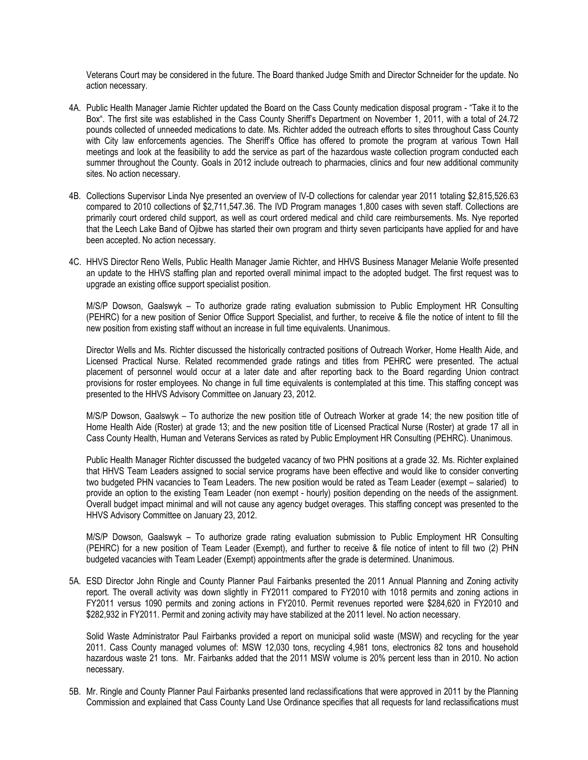Veterans Court may be considered in the future. The Board thanked Judge Smith and Director Schneider for the update. No action necessary.

- 4A. Public Health Manager Jamie Richter updated the Board on the Cass County medication disposal program "Take it to the Box". The first site was established in the Cass County Sheriff's Department on November 1, 2011, with a total of 24.72 pounds collected of unneeded medications to date. Ms. Richter added the outreach efforts to sites throughout Cass County with City law enforcements agencies. The Sheriff's Office has offered to promote the program at various Town Hall meetings and look at the feasibility to add the service as part of the hazardous waste collection program conducted each summer throughout the County. Goals in 2012 include outreach to pharmacies, clinics and four new additional community sites. No action necessary.
- 4B. Collections Supervisor Linda Nye presented an overview of IV-D collections for calendar year 2011 totaling \$2,815,526.63 compared to 2010 collections of \$2,711,547.36. The IVD Program manages 1,800 cases with seven staff. Collections are primarily court ordered child support, as well as court ordered medical and child care reimbursements. Ms. Nye reported that the Leech Lake Band of Ojibwe has started their own program and thirty seven participants have applied for and have been accepted. No action necessary.
- 4C. HHVS Director Reno Wells, Public Health Manager Jamie Richter, and HHVS Business Manager Melanie Wolfe presented an update to the HHVS staffing plan and reported overall minimal impact to the adopted budget. The first request was to upgrade an existing office support specialist position.

M/S/P Dowson, Gaalswyk – To authorize grade rating evaluation submission to Public Employment HR Consulting (PEHRC) for a new position of Senior Office Support Specialist, and further, to receive & file the notice of intent to fill the new position from existing staff without an increase in full time equivalents. Unanimous.

Director Wells and Ms. Richter discussed the historically contracted positions of Outreach Worker, Home Health Aide, and Licensed Practical Nurse. Related recommended grade ratings and titles from PEHRC were presented. The actual placement of personnel would occur at a later date and after reporting back to the Board regarding Union contract provisions for roster employees. No change in full time equivalents is contemplated at this time. This staffing concept was presented to the HHVS Advisory Committee on January 23, 2012.

M/S/P Dowson, Gaalswyk – To authorize the new position title of Outreach Worker at grade 14; the new position title of Home Health Aide (Roster) at grade 13; and the new position title of Licensed Practical Nurse (Roster) at grade 17 all in Cass County Health, Human and Veterans Services as rated by Public Employment HR Consulting (PEHRC). Unanimous.

Public Health Manager Richter discussed the budgeted vacancy of two PHN positions at a grade 32. Ms. Richter explained that HHVS Team Leaders assigned to social service programs have been effective and would like to consider converting two budgeted PHN vacancies to Team Leaders. The new position would be rated as Team Leader (exempt – salaried) to provide an option to the existing Team Leader (non exempt - hourly) position depending on the needs of the assignment. Overall budget impact minimal and will not cause any agency budget overages. This staffing concept was presented to the HHVS Advisory Committee on January 23, 2012.

M/S/P Dowson, Gaalswyk – To authorize grade rating evaluation submission to Public Employment HR Consulting (PEHRC) for a new position of Team Leader (Exempt), and further to receive & file notice of intent to fill two (2) PHN budgeted vacancies with Team Leader (Exempt) appointments after the grade is determined. Unanimous.

5A. ESD Director John Ringle and County Planner Paul Fairbanks presented the 2011 Annual Planning and Zoning activity report. The overall activity was down slightly in FY2011 compared to FY2010 with 1018 permits and zoning actions in FY2011 versus 1090 permits and zoning actions in FY2010. Permit revenues reported were \$284,620 in FY2010 and \$282,932 in FY2011. Permit and zoning activity may have stabilized at the 2011 level. No action necessary.

Solid Waste Administrator Paul Fairbanks provided a report on municipal solid waste (MSW) and recycling for the year 2011. Cass County managed volumes of: MSW 12,030 tons, recycling 4,981 tons, electronics 82 tons and household hazardous waste 21 tons. Mr. Fairbanks added that the 2011 MSW volume is 20% percent less than in 2010. No action necessary.

5B. Mr. Ringle and County Planner Paul Fairbanks presented land reclassifications that were approved in 2011 by the Planning Commission and explained that Cass County Land Use Ordinance specifies that all requests for land reclassifications must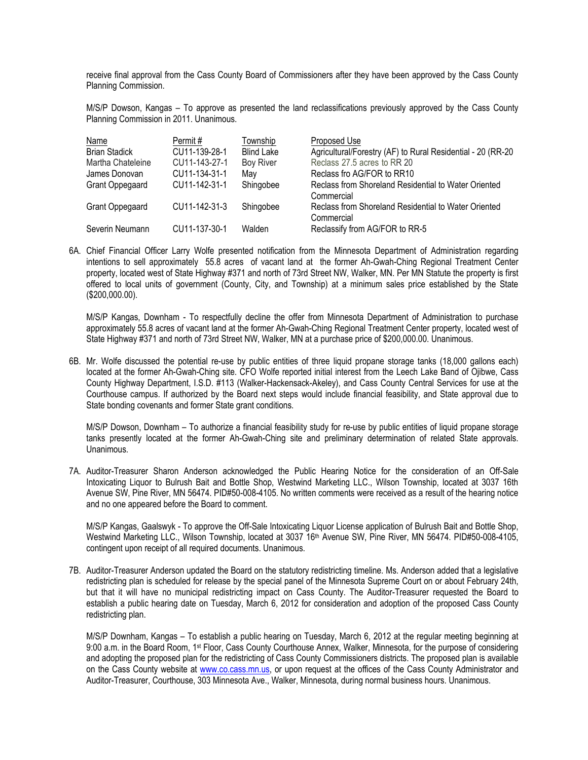receive final approval from the Cass County Board of Commissioners after they have been approved by the Cass County Planning Commission.

M/S/P Dowson, Kangas – To approve as presented the land reclassifications previously approved by the Cass County Planning Commission in 2011. Unanimous.

| <b>Name</b>            | Permit#       | Township          | Proposed Use                                                       |
|------------------------|---------------|-------------------|--------------------------------------------------------------------|
| <b>Brian Stadick</b>   | CU11-139-28-1 | <b>Blind Lake</b> | Agricultural/Forestry (AF) to Rural Residential - 20 (RR-20        |
| Martha Chateleine      | CU11-143-27-1 | <b>Boy River</b>  | Reclass 27.5 acres to RR 20                                        |
| James Donovan          | CU11-134-31-1 | Mav               | Reclass fro AG/FOR to RR10                                         |
| <b>Grant Oppegaard</b> | CU11-142-31-1 | Shingobee         | Reclass from Shoreland Residential to Water Oriented<br>Commercial |
| <b>Grant Oppegaard</b> | CU11-142-31-3 | Shingobee         | Reclass from Shoreland Residential to Water Oriented<br>Commercial |
| Severin Neumann        | CU11-137-30-1 | Walden            | Reclassify from AG/FOR to RR-5                                     |

6A. Chief Financial Officer Larry Wolfe presented notification from the Minnesota Department of Administration regarding intentions to sell approximately 55.8 acres of vacant land at the former Ah-Gwah-Ching Regional Treatment Center property, located west of State Highway #371 and north of 73rd Street NW, Walker, MN. Per MN Statute the property is first offered to local units of government (County, City, and Township) at a minimum sales price established by the State (\$200,000.00).

M/S/P Kangas, Downham - To respectfully decline the offer from Minnesota Department of Administration to purchase approximately 55.8 acres of vacant land at the former Ah-Gwah-Ching Regional Treatment Center property, located west of State Highway #371 and north of 73rd Street NW, Walker, MN at a purchase price of \$200,000.00. Unanimous.

6B. Mr. Wolfe discussed the potential re-use by public entities of three liquid propane storage tanks (18,000 gallons each) located at the former Ah-Gwah-Ching site. CFO Wolfe reported initial interest from the Leech Lake Band of Ojibwe, Cass County Highway Department, I.S.D. #113 (Walker-Hackensack-Akeley), and Cass County Central Services for use at the Courthouse campus. If authorized by the Board next steps would include financial feasibility, and State approval due to State bonding covenants and former State grant conditions.

M/S/P Dowson, Downham – To authorize a financial feasibility study for re-use by public entities of liquid propane storage tanks presently located at the former Ah-Gwah-Ching site and preliminary determination of related State approvals. Unanimous.

7A. Auditor-Treasurer Sharon Anderson acknowledged the Public Hearing Notice for the consideration of an Off-Sale Intoxicating Liquor to Bulrush Bait and Bottle Shop, Westwind Marketing LLC., Wilson Township, located at 3037 16th Avenue SW, Pine River, MN 56474. PID#50-008-4105. No written comments were received as a result of the hearing notice and no one appeared before the Board to comment.

M/S/P Kangas, Gaalswyk - To approve the Off-Sale Intoxicating Liquor License application of Bulrush Bait and Bottle Shop, Westwind Marketing LLC., Wilson Township, located at 3037 16<sup>th</sup> Avenue SW, Pine River, MN 56474. PID#50-008-4105, contingent upon receipt of all required documents. Unanimous.

7B. Auditor-Treasurer Anderson updated the Board on the statutory redistricting timeline. Ms. Anderson added that a legislative redistricting plan is scheduled for release by the special panel of the Minnesota Supreme Court on or about February 24th, but that it will have no municipal redistricting impact on Cass County. The Auditor-Treasurer requested the Board to establish a public hearing date on Tuesday, March 6, 2012 for consideration and adoption of the proposed Cass County redistricting plan.

M/S/P Downham, Kangas – To establish a public hearing on Tuesday, March 6, 2012 at the regular meeting beginning at 9:00 a.m. in the Board Room, 1st Floor, Cass County Courthouse Annex, Walker, Minnesota, for the purpose of considering and adopting the proposed plan for the redistricting of Cass County Commissioners districts. The proposed plan is available on the Cass County website at [www.co.cass.mn.us,](http://www.co.cass.mn.us/) or upon request at the offices of the Cass County Administrator and Auditor-Treasurer, Courthouse, 303 Minnesota Ave., Walker, Minnesota, during normal business hours. Unanimous.